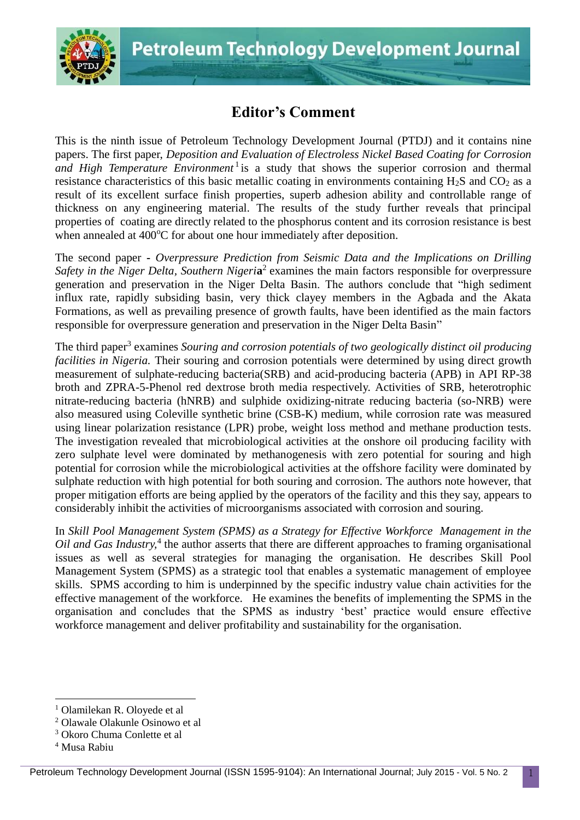

## **Editor's Comment**

This is the ninth issue of Petroleum Technology Development Journal (PTDJ) and it contains nine papers. The first paper, *Deposition and Evaluation of Electroless Nickel Based Coating for Corrosion*  and High Temperature Environment<sup>1</sup> is a study that shows the superior corrosion and thermal resistance characteristics of this basic metallic coating in environments containing  $H_2S$  and  $CO_2$  as a result of its excellent surface finish properties, superb adhesion ability and controllable range of thickness on any engineering material. The results of the study further reveals that principal properties of coating are directly related to the phosphorus content and its corrosion resistance is best when annealed at  $400^{\circ}$ C for about one hour immediately after deposition.

The second paper **-** *Overpressure Prediction from Seismic Data and the Implications on Drilling*  Safety in the Niger Delta, Southern Nigeria<sup>2</sup> examines the main factors responsible for overpressure generation and preservation in the Niger Delta Basin. The authors conclude that "high sediment influx rate, rapidly subsiding basin, very thick clayey members in the Agbada and the Akata Formations, as well as prevailing presence of growth faults, have been identified as the main factors responsible for overpressure generation and preservation in the Niger Delta Basin"

The third paper<sup>3</sup> examines *Souring and corrosion potentials of two geologically distinct oil producing facilities in Nigeria.* Their souring and corrosion potentials were determined by using direct growth measurement of sulphate-reducing bacteria(SRB) and acid-producing bacteria (APB) in API RP-38 broth and ZPRA-5-Phenol red dextrose broth media respectively. Activities of SRB, heterotrophic nitrate-reducing bacteria (hNRB) and sulphide oxidizing-nitrate reducing bacteria (so-NRB) were also measured using Coleville synthetic brine (CSB-K) medium, while corrosion rate was measured using linear polarization resistance (LPR) probe, weight loss method and methane production tests. The investigation revealed that microbiological activities at the onshore oil producing facility with zero sulphate level were dominated by methanogenesis with zero potential for souring and high potential for corrosion while the microbiological activities at the offshore facility were dominated by sulphate reduction with high potential for both souring and corrosion. The authors note however, that proper mitigation efforts are being applied by the operators of the facility and this they say, appears to considerably inhibit the activities of microorganisms associated with corrosion and souring.

In *Skill Pool Management System (SPMS) as a Strategy for Effective Workforce Management in the*  Oil and Gas Industry,<sup>4</sup> the author asserts that there are different approaches to framing organisational issues as well as several strategies for managing the organisation. He describes Skill Pool Management System (SPMS) as a strategic tool that enables a systematic management of employee skills. SPMS according to him is underpinned by the specific industry value chain activities for the effective management of the workforce. He examines the benefits of implementing the SPMS in the organisation and concludes that the SPMS as industry 'best' practice would ensure effective workforce management and deliver profitability and sustainability for the organisation.

 $\overline{a}$ 

<sup>1</sup> Olamilekan R. Oloyede et al

<sup>2</sup> Olawale Olakunle Osinowo et al

<sup>3</sup> Okoro Chuma Conlette et al

<sup>4</sup> Musa Rabiu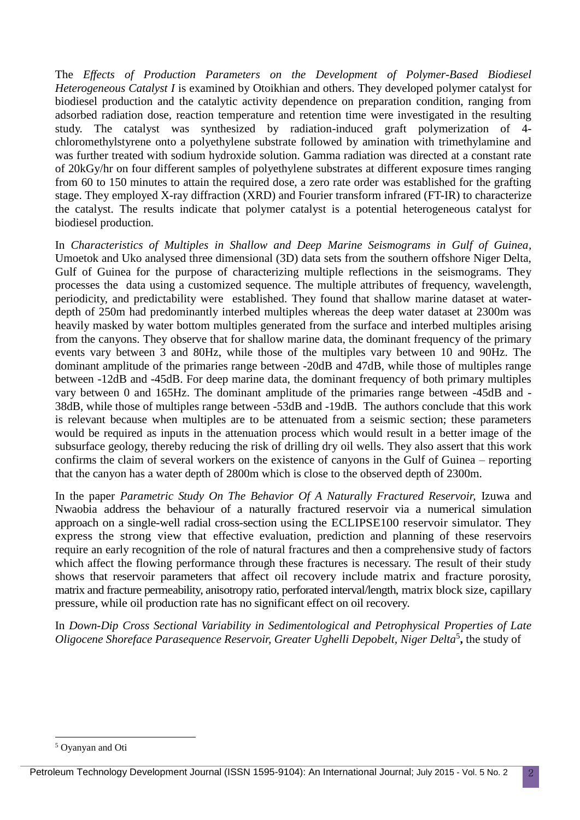The *Effects of Production Parameters on the Development of Polymer-Based Biodiesel Heterogeneous Catalyst I* is examined by Otoikhian and others. They developed polymer catalyst for biodiesel production and the catalytic activity dependence on preparation condition, ranging from adsorbed radiation dose, reaction temperature and retention time were investigated in the resulting study. The catalyst was synthesized by radiation-induced graft polymerization of 4 chloromethylstyrene onto a polyethylene substrate followed by amination with trimethylamine and was further treated with sodium hydroxide solution. Gamma radiation was directed at a constant rate of 20kGy/hr on four different samples of polyethylene substrates at different exposure times ranging from 60 to 150 minutes to attain the required dose, a zero rate order was established for the grafting stage. They employed X-ray diffraction (XRD) and Fourier transform infrared (FT-IR) to characterize the catalyst. The results indicate that polymer catalyst is a potential heterogeneous catalyst for biodiesel production.

In *Characteristics of Multiples in Shallow and Deep Marine Seismograms in Gulf of Guinea,* Umoetok and Uko analysed three dimensional (3D) data sets from the southern offshore Niger Delta, Gulf of Guinea for the purpose of characterizing multiple reflections in the seismograms. They processes the data using a customized sequence. The multiple attributes of frequency, wavelength, periodicity, and predictability were established. They found that shallow marine dataset at waterdepth of 250m had predominantly interbed multiples whereas the deep water dataset at 2300m was heavily masked by water bottom multiples generated from the surface and interbed multiples arising from the canyons. They observe that for shallow marine data, the dominant frequency of the primary events vary between 3 and 80Hz, while those of the multiples vary between 10 and 90Hz. The dominant amplitude of the primaries range between -20dB and 47dB, while those of multiples range between -12dB and -45dB. For deep marine data, the dominant frequency of both primary multiples vary between 0 and 165Hz. The dominant amplitude of the primaries range between -45dB and - 38dB, while those of multiples range between -53dB and -19dB. The authors conclude that this work is relevant because when multiples are to be attenuated from a seismic section; these parameters would be required as inputs in the attenuation process which would result in a better image of the subsurface geology, thereby reducing the risk of drilling dry oil wells. They also assert that this work confirms the claim of several workers on the existence of canyons in the Gulf of Guinea – reporting that the canyon has a water depth of 2800m which is close to the observed depth of 2300m.

In the paper *Parametric Study On The Behavior Of A Naturally Fractured Reservoir,* Izuwa and Nwaobia address the behaviour of a naturally fractured reservoir via a numerical simulation approach on a single-well radial cross-section using the ECLIPSE100 reservoir simulator. They express the strong view that effective evaluation, prediction and planning of these reservoirs require an early recognition of the role of natural fractures and then a comprehensive study of factors which affect the flowing performance through these fractures is necessary. The result of their study shows that reservoir parameters that affect oil recovery include matrix and fracture porosity, matrix and fracture permeability, anisotropy ratio, perforated interval/length, matrix block size, capillary pressure, while oil production rate has no significant effect on oil recovery.

In *Down-Dip Cross Sectional Variability in Sedimentological and Petrophysical Properties of Late Oligocene Shoreface Parasequence Reservoir, Greater Ughelli Depobelt, Niger Delta*<sup>5</sup> **,** the study of

 $\overline{\phantom{a}}$ 

<sup>5</sup> Oyanyan and Oti